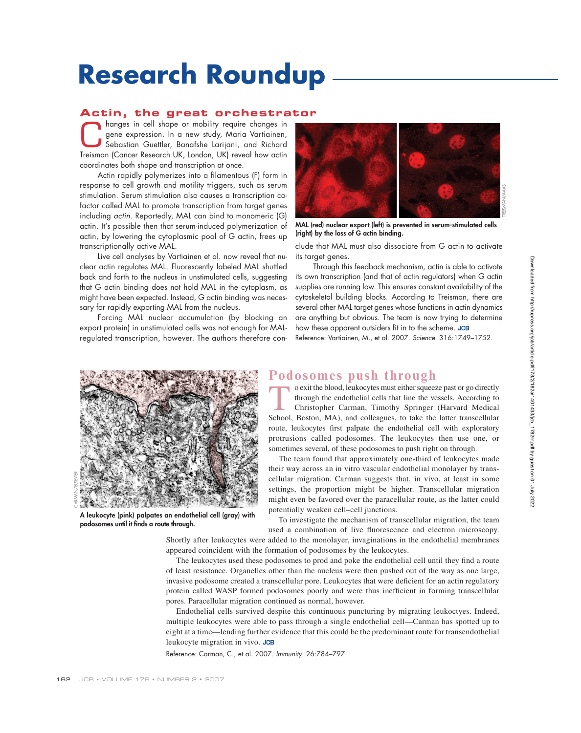# **Research Roundup**

### **Actin, the great orchestrator**

hanges in cell shape or mobility require changes in<br>gene expression. In a new study, Maria Vartiainen,<br>Sebastian Guettler, Banafshe Larijani, and Richard<br>Treisman (Cancer Bescarch LIK, London LIK) reveal bout astin gene expression. In a new study, Maria Vartiainen, Sebastian Guettler, Banafshe Larijani, and Richard Treisman (Cancer Research UK, London, UK) reveal how actin coordinates both shape and transcription at once.

Actin rapidly polymerizes into a filamentous (F) form in response to cell growth and motility triggers, such as serum stimulation. Serum stimulation also causes a transcription cofactor called MAL to promote transcription from target genes including actin. Reportedly, MAL can bind to monomeric (G) actin. It's possible then that serum-induced polymerization of actin, by lowering the cytoplasmic pool of G actin, frees up transcriptionally active MAL.

Live cell analyses by Vartiainen et al. now reveal that nuclear actin regulates MAL. Fluorescently labeled MAL shuttled back and forth to the nucleus in unstimulated cells, suggesting that G actin binding does not hold MAL in the cytoplasm, as might have been expected. Instead, G actin binding was necessary for rapidly exporting MAL from the nucleus.

Forcing MAL nuclear accumulation (by blocking an export protein) in unstimulated cells was not enough for MALregulated transcription, however. The authors therefore con-



**MAL (red) nuclear export (left) is prevented in serum-stimulated cells (right) by the loss of G actin binding.**

clude that MAL must also dissociate from G actin to activate its target genes.

Through this feedback mechanism, actin is able to activate its own transcription (and that of actin regulators) when G actin supplies are running low. This ensures constant availability of the cytoskeletal building blocks. According to Treisman, there are several other MAL target genes whose functions in actin dynamics are anything but obvious. The team is now trying to determine how these apparent outsiders fit in to the scheme. JCB Reference: Vartiainen, M., et al. 2007. Science. 316:1749–1752.



**A leukocyte (pink) palpates an endothelial cell (gray) with**  podosomes until it finds a route through.

## **Podosomes push through**<br>exit the blood, leukocytes must either squeeze past or go directly

o exit the blood, leukocytes must either squeeze past or go directly<br>through the endothelial cells that line the vessels. According to<br>Christopher Carman, Timothy Springer (Harvard Medical<br>School Boston MA) and colleagues through the endothelial cells that line the vessels. According to Christopher Carman, Timothy Springer (Harvard Medical School, Boston, MA), and colleagues, to take the latter transcellular route, leukocytes first palpate the endothelial cell with exploratory protrusions called podosomes. The leukocytes then use one, or sometimes several, of these podosomes to push right on through.

The team found that approximately one-third of leukocytes made their way across an in vitro vascular endothelial monolayer by transcellular migration. Carman suggests that, in vivo, at least in some settings, the proportion might be higher. Transcellular migration might even be favored over the paracellular route, as the latter could potentially weaken cell–cell junctions.

To investigate the mechanism of transcellular migration, the team used a combination of live fluorescence and electron microscopy.

Shortly after leukocytes were added to the monolayer, invaginations in the endothelial membranes appeared coincident with the formation of podosomes by the leukocytes.

The leukocytes used these podosomes to prod and poke the endothelial cell until they find a route of least resistance. Organelles other than the nucleus were then pushed out of the way as one large, invasive podosome created a transcellular pore. Leukocytes that were deficient for an actin regulatory protein called WASP formed podosomes poorly and were thus inefficient in forming transcellular pores. Paracellular migration continued as normal, however.

Endothelial cells survived despite this continuous puncturing by migrating leukoctyes. Indeed, multiple leukocytes were able to pass through a single endothelial cell—Carman has spotted up to eight at a time—lending further evidence that this could be the predominant route for transendothelial leukocyte migration in vivo.

Reference: Carman, C., et al. 2007. Immunity. 26:784–797.